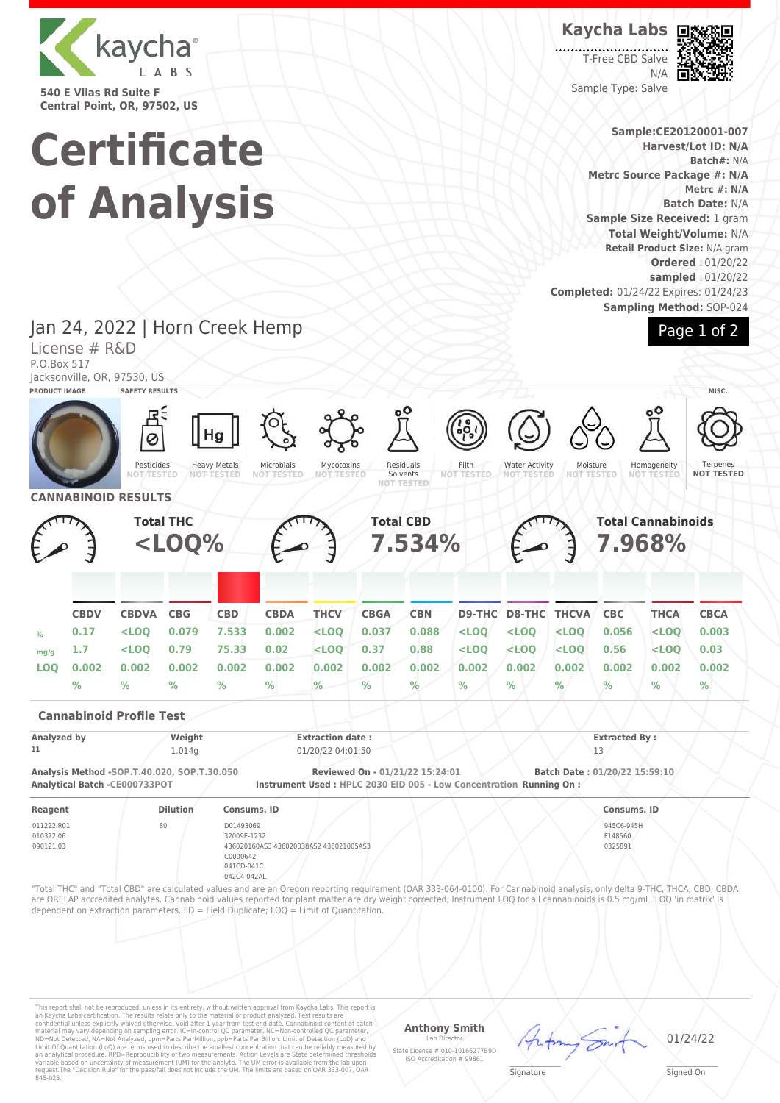

**540 E Vilas Rd Suite F Central Point, OR, 97502, US**

# **Certificate of Analysis**

**Kaycha Labs**

T-Free CBD Salve N/A Sample Type: Salve



**Sample:CE20120001-007 Harvest/Lot ID: N/A Batch#:** N/A **Metrc Source Package #: N/A Metrc #: N/A Batch Date:** N/A **Sample Size Received:** 1 gram **Total Weight/Volume:** N/A **Retail Product Size:** N/A gram **Ordered** : 01/20/22 **sampled** : 01/20/22 **Completed:** 01/24/22 Expires: 01/24/23 **Sampling Method:** SOP-024



Jan 24, 2022 | Horn Creek Hemp License # R&D P.O.Box 517 Jacksonville, OR, 97530, US **PRODUCT IMAGE SAFETY RESULTS MISC.** Hq Ø

> Pesticides **NOT TESTED**



Mycotoxins **NOT TESTED**

Residuals Solvents<br>NOT TEST **NOT TESTED** Filth **NOT TESTED**

Water Activity **NOT TESTED**

Homogeneity **NOT TESTED** 

Moisture **NOT TESTED**

**Terpenes NOT TESTED**



**Cannabinoid Profile Test**

| Analyzed by<br>Weight<br>11<br>1.014q |                                             | <b>Extraction date:</b>                                              |                                 | <b>Extracted By:</b>          |  |
|---------------------------------------|---------------------------------------------|----------------------------------------------------------------------|---------------------------------|-------------------------------|--|
|                                       |                                             | 01/20/22 04:01:50                                                    |                                 |                               |  |
| Analytical Batch -CE000733POT         | Analysis Method -SOP.T.40.020, SOP.T.30.050 | Instrument Used : HPLC 2030 EID 005 - Low Concentration Running On : | Reviewed On - 01/21/22 15:24:01 | Batch Date: 01/20/22 15:59:10 |  |
| Reagent                               | <b>Dilution</b>                             | Consums, ID                                                          |                                 | Consums, ID                   |  |
| 011222.R01<br>010322.06               | 80                                          | D01493069<br>32009E-1232                                             |                                 | 945C6-945H<br>F148560         |  |
| 090121.03                             |                                             | 436020160AS3 436020338AS2 436021005AS3                               |                                 | 0325891                       |  |

436020160AS3 436020338AS2 436021005AS3 C0000642 041CD-041C 042C4-042AL

0325891

"Total THC" and "Total CBD" are calculated values and are an Oregon reporting requirement (OAR 333-064-0100). For Cannabinoid analysis, only delta 9-THC, THCA, CBD, CBDA are ORELAP accredited analytes. Cannabinoid values reported for plant matter are dry weight corrected; Instrument LOQ for all cannabinoids is 0.5 mg/mL, LOQ 'in matrix' is dependent on extraction parameters. FD = Field Duplicate; LOQ = Limit of Quantitation.

This report shall not be reproduced, unless in its entirety, without written approval from Kaycha Labs. This report is<br>an Kaycha Labs certification. The results relate only to the material or product analyzed. Test result

### **Anthony Smith**

Lab Director State License # 010-10166277B9D ISO Accreditation # 99861



01/24/22

 $\mathscr{L}\setminus\mathscr{L}$ **Signature** 

Signed On